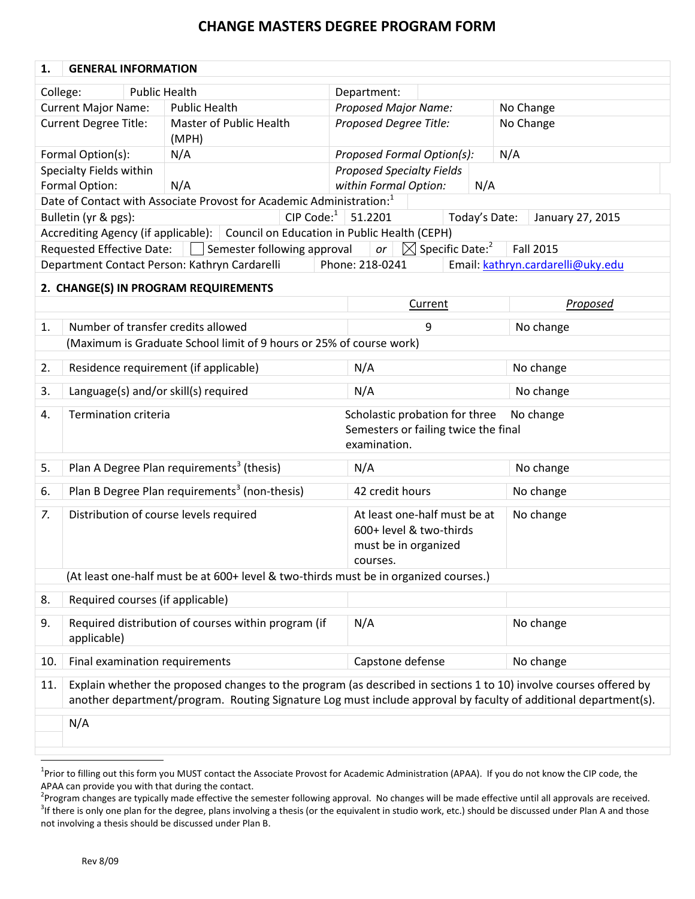## **CHANGE MASTERS DEGREE PROGRAM FORM**

| 1.                                                               | <b>GENERAL INFORMATION</b>                                                                                                                                                                                                           |                        |                                                                                      |  |                                  |                            |                                                                        |               |           |                                   |
|------------------------------------------------------------------|--------------------------------------------------------------------------------------------------------------------------------------------------------------------------------------------------------------------------------------|------------------------|--------------------------------------------------------------------------------------|--|----------------------------------|----------------------------|------------------------------------------------------------------------|---------------|-----------|-----------------------------------|
| College:                                                         |                                                                                                                                                                                                                                      | <b>Public Health</b>   |                                                                                      |  | Department:                      |                            |                                                                        |               |           |                                   |
|                                                                  | <b>Current Major Name:</b>                                                                                                                                                                                                           |                        | <b>Public Health</b>                                                                 |  | <b>Proposed Major Name:</b>      |                            |                                                                        |               | No Change |                                   |
| <b>Current Degree Title:</b><br>Master of Public Health<br>(MPH) |                                                                                                                                                                                                                                      | Proposed Degree Title: |                                                                                      |  | No Change                        |                            |                                                                        |               |           |                                   |
| Formal Option(s):<br>N/A                                         |                                                                                                                                                                                                                                      |                        |                                                                                      |  |                                  | Proposed Formal Option(s): |                                                                        | N/A           |           |                                   |
|                                                                  | Specialty Fields within                                                                                                                                                                                                              |                        |                                                                                      |  | <b>Proposed Specialty Fields</b> |                            |                                                                        |               |           |                                   |
|                                                                  | Formal Option:                                                                                                                                                                                                                       |                        | N/A                                                                                  |  | within Formal Option:            |                            |                                                                        | N/A           |           |                                   |
|                                                                  |                                                                                                                                                                                                                                      |                        | Date of Contact with Associate Provost for Academic Administration: <sup>1</sup>     |  |                                  |                            |                                                                        |               |           |                                   |
|                                                                  | Bulletin (yr & pgs):                                                                                                                                                                                                                 |                        |                                                                                      |  | CIP Code: $1 \mid 51.2201$       |                            |                                                                        | Today's Date: |           | January 27, 2015                  |
|                                                                  |                                                                                                                                                                                                                                      |                        | Accrediting Agency (if applicable): Council on Education in Public Health (CEPH)     |  |                                  |                            |                                                                        |               |           |                                   |
|                                                                  | <b>Requested Effective Date:</b>                                                                                                                                                                                                     |                        | Semester following approval                                                          |  | or                               |                            | $\boxtimes$ Specific Date: <sup>2</sup>                                |               |           | <b>Fall 2015</b>                  |
|                                                                  |                                                                                                                                                                                                                                      |                        | Department Contact Person: Kathryn Cardarelli                                        |  | Phone: 218-0241                  |                            |                                                                        |               |           | Email: kathryn.cardarelli@uky.edu |
|                                                                  |                                                                                                                                                                                                                                      |                        | 2. CHANGE(S) IN PROGRAM REQUIREMENTS                                                 |  |                                  |                            |                                                                        |               |           |                                   |
|                                                                  |                                                                                                                                                                                                                                      |                        |                                                                                      |  |                                  |                            | Current                                                                |               |           | Proposed                          |
| 1.                                                               |                                                                                                                                                                                                                                      |                        | Number of transfer credits allowed                                                   |  |                                  |                            | 9                                                                      |               |           | No change                         |
|                                                                  |                                                                                                                                                                                                                                      |                        | (Maximum is Graduate School limit of 9 hours or 25% of course work)                  |  |                                  |                            |                                                                        |               |           |                                   |
| 2.                                                               |                                                                                                                                                                                                                                      |                        | Residence requirement (if applicable)                                                |  | N/A                              |                            |                                                                        |               |           | No change                         |
| 3.                                                               |                                                                                                                                                                                                                                      |                        | Language(s) and/or skill(s) required                                                 |  | N/A                              |                            |                                                                        | No change     |           |                                   |
| 4.                                                               | <b>Termination criteria</b>                                                                                                                                                                                                          |                        |                                                                                      |  | examination.                     |                            | Scholastic probation for three<br>Semesters or failing twice the final |               |           | No change                         |
| 5.                                                               |                                                                                                                                                                                                                                      |                        | Plan A Degree Plan requirements <sup>3</sup> (thesis)                                |  | N/A                              |                            |                                                                        |               |           | No change                         |
| 6.                                                               |                                                                                                                                                                                                                                      |                        | Plan B Degree Plan requirements <sup>3</sup> (non-thesis)                            |  | 42 credit hours                  |                            |                                                                        |               |           | No change                         |
| 7.                                                               |                                                                                                                                                                                                                                      |                        | Distribution of course levels required                                               |  | must be in organized<br>courses. |                            | At least one-half must be at<br>600+ level & two-thirds                |               |           | No change                         |
|                                                                  |                                                                                                                                                                                                                                      |                        | (At least one-half must be at 600+ level & two-thirds must be in organized courses.) |  |                                  |                            |                                                                        |               |           |                                   |
| 8.                                                               |                                                                                                                                                                                                                                      |                        | Required courses (if applicable)                                                     |  |                                  |                            |                                                                        |               |           |                                   |
| 9.                                                               | applicable)                                                                                                                                                                                                                          |                        | Required distribution of courses within program (if                                  |  | N/A                              |                            |                                                                        |               |           | No change                         |
| 10.                                                              |                                                                                                                                                                                                                                      |                        | Final examination requirements                                                       |  | Capstone defense                 |                            |                                                                        |               |           | No change                         |
| 11.                                                              | Explain whether the proposed changes to the program (as described in sections 1 to 10) involve courses offered by<br>another department/program. Routing Signature Log must include approval by faculty of additional department(s). |                        |                                                                                      |  |                                  |                            |                                                                        |               |           |                                   |
|                                                                  | N/A                                                                                                                                                                                                                                  |                        |                                                                                      |  |                                  |                            |                                                                        |               |           |                                   |

<sup>&</sup>lt;sup>1</sup>Prior to filling out this form you MUST contact the Associate Provost for Academic Administration (APAA). If you do not know the CIP code, the APAA can provide you with that during the contact.

<sup>&</sup>lt;sup>2</sup>Program changes are typically made effective the semester following approval. No changes will be made effective until all approvals are received.  $3$ If there is only one plan for the degree, plans involving a thesis (or the equivalent in studio work, etc.) should be discussed under Plan A and those not involving a thesis should be discussed under Plan B.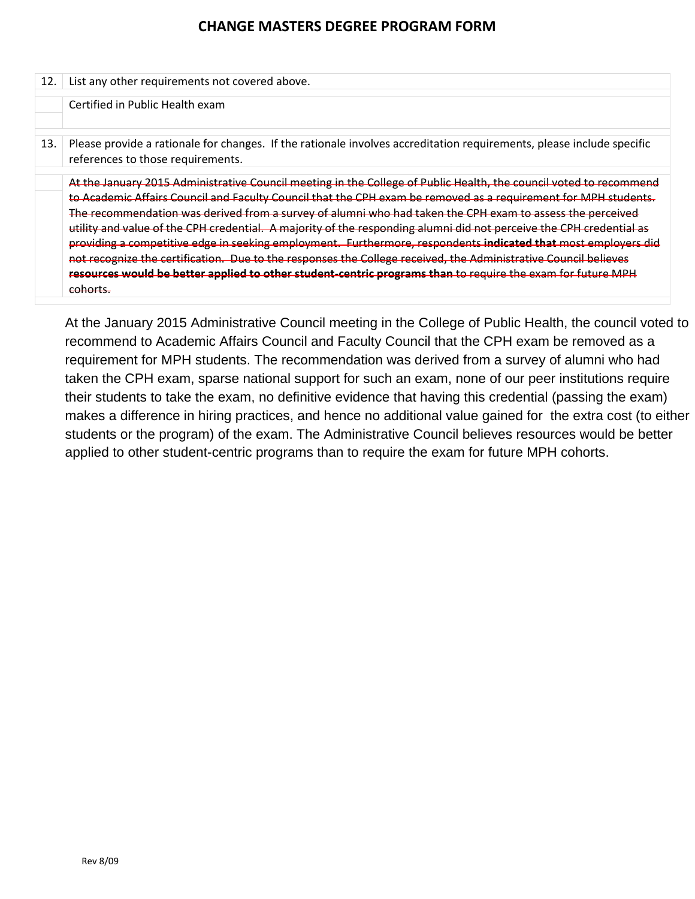### **CHANGE MASTERS DEGREE PROGRAM FORM**

| 12. | List any other requirements not covered above.                                                                                                             |
|-----|------------------------------------------------------------------------------------------------------------------------------------------------------------|
|     | Certified in Public Health exam                                                                                                                            |
|     |                                                                                                                                                            |
| 13. | Please provide a rationale for changes. If the rationale involves accreditation requirements, please include specific<br>references to those requirements. |
|     | At the January 2015 Administrative Council meeting in the College of Public Health, the council voted to recommend                                         |
|     | to Academic Affairs Council and Faculty Council that the CPH exam be removed as a requirement for MPH students.                                            |
|     | The recommendation was derived from a survey of alumni who had taken the CPH exam to assess the perceived                                                  |
|     | utility and value of the CPH credential. A majority of the responding alumni did not perceive the CPH credential as                                        |
|     | providing a competitive edge in seeking employment. Furthermore, respondents indicated that most employers did                                             |
|     | not recognize the certification. Due to the responses the College received, the Administrative Council believes                                            |
|     | resources would be better applied to other student-centric programs than to require the exam for future MPH                                                |
|     | cohorts.                                                                                                                                                   |

At the January 2015 Administrative Council meeting in the College of Public Health, the council voted to recommend to Academic Affairs Council and Faculty Council that the CPH exam be removed as a requirement for MPH students. The recommendation was derived from a survey of alumni who had taken the CPH exam, sparse national support for such an exam, none of our peer institutions require their students to take the exam, no definitive evidence that having this credential (passing the exam) makes a difference in hiring practices, and hence no additional value gained for the extra cost (to either students or the program) of the exam. The Administrative Council believes resources would be better applied to other student-centric programs than to require the exam for future MPH cohorts.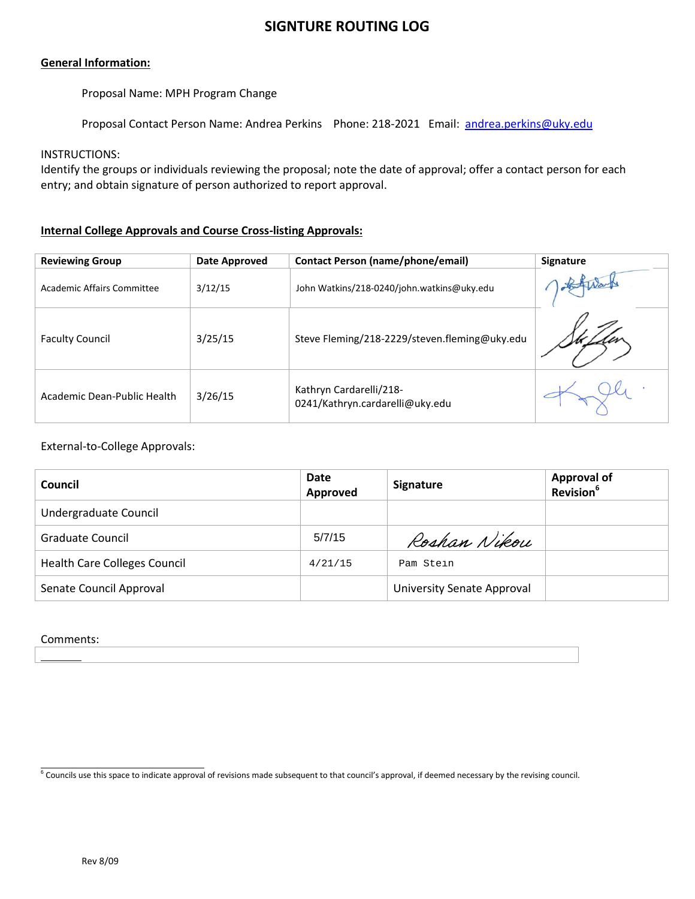### **SIGNTURE ROUTING LOG**

### **General Information:**

Proposal Name: MPH Program Change

Proposal Contact Person Name: Andrea Perkins Phone: 218-2021 Email: andrea.perkins@uky.edu

### INSTRUCTIONS:

Identify the groups or individuals reviewing the proposal; note the date of approval; offer a contact person for each entry; and obtain signature of person authorized to report approval.

### **Internal College Approvals and Course Cross-listing Approvals:**

| <b>Reviewing Group</b>            | Date Approved | <b>Contact Person (name/phone/email)</b>                   | <b>Signature</b> |
|-----------------------------------|---------------|------------------------------------------------------------|------------------|
| <b>Academic Affairs Committee</b> | 3/12/15       | John Watkins/218-0240/john.watkins@uky.edu                 |                  |
| <b>Faculty Council</b>            | 3/25/15       | Steve Fleming/218-2229/steven.fleming@uky.edu              |                  |
| Academic Dean-Public Health       | 3/26/15       | Kathryn Cardarelli/218-<br>0241/Kathryn.cardarelli@uky.edu |                  |

### External-to-College Approvals:

| Council                             | Date<br>Approved | <b>Signature</b>                  | <b>Approval of</b><br>Revision <sup>6</sup> |
|-------------------------------------|------------------|-----------------------------------|---------------------------------------------|
| Undergraduate Council               |                  |                                   |                                             |
| Graduate Council                    | 5/7/15           | Roshan Nikou                      |                                             |
| <b>Health Care Colleges Council</b> | 4/21/15          | Pam Stein                         |                                             |
| Senate Council Approval             |                  | <b>University Senate Approval</b> |                                             |

### Comments:

 $^6$  Councils use this space to indicate approval of revisions made subsequent to that council's approval, if deemed necessary by the revising council.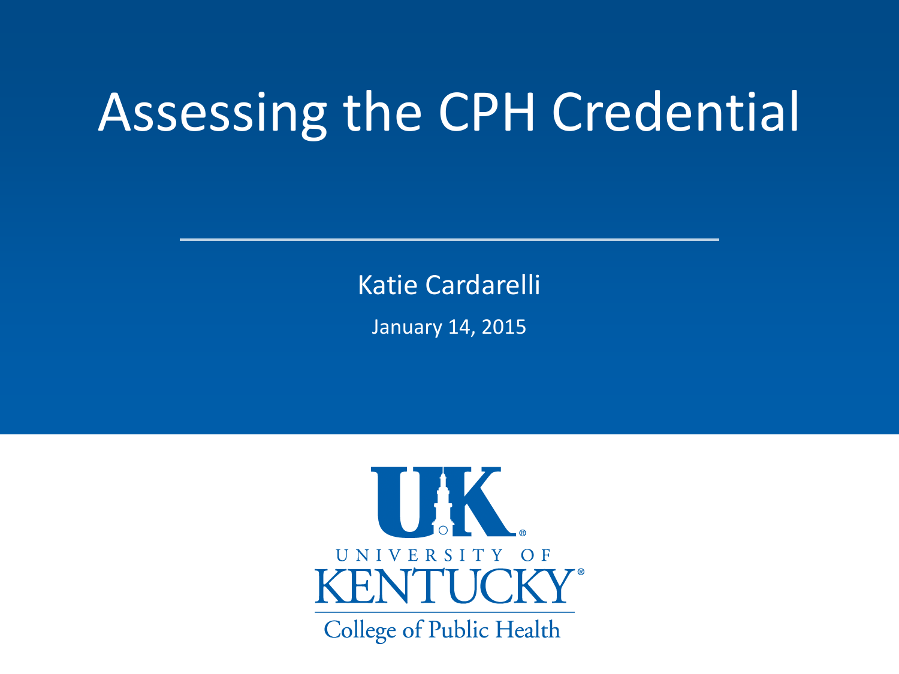# Assessing the CPH Credential

Katie Cardarelli

January 14, 2015

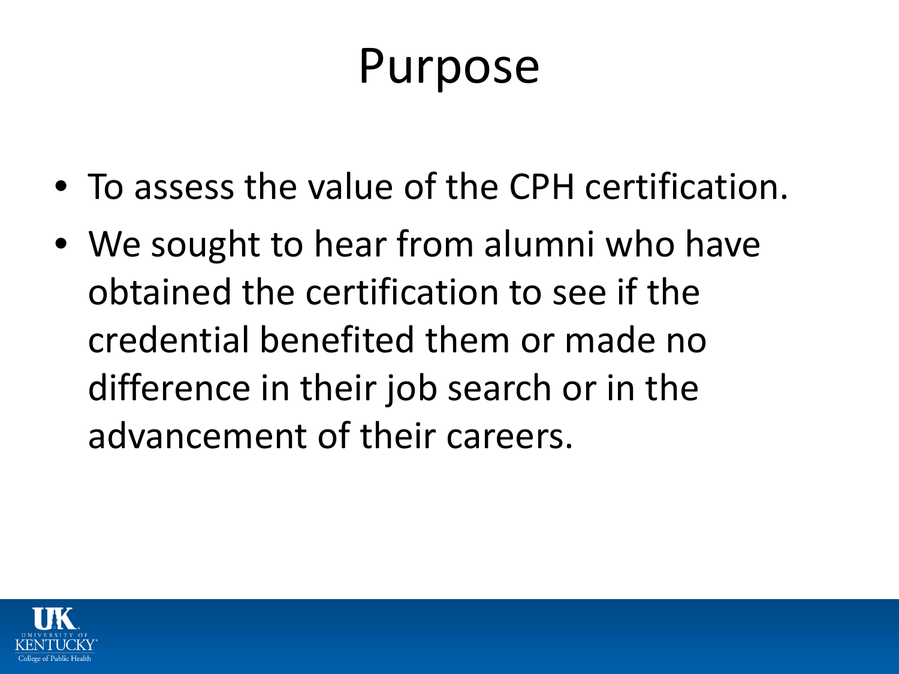## Purpose

- To assess the value of the CPH certification.
- We sought to hear from alumni who have obtained the certification to see if the credential benefited them or made no difference in their job search or in the advancement of their careers.

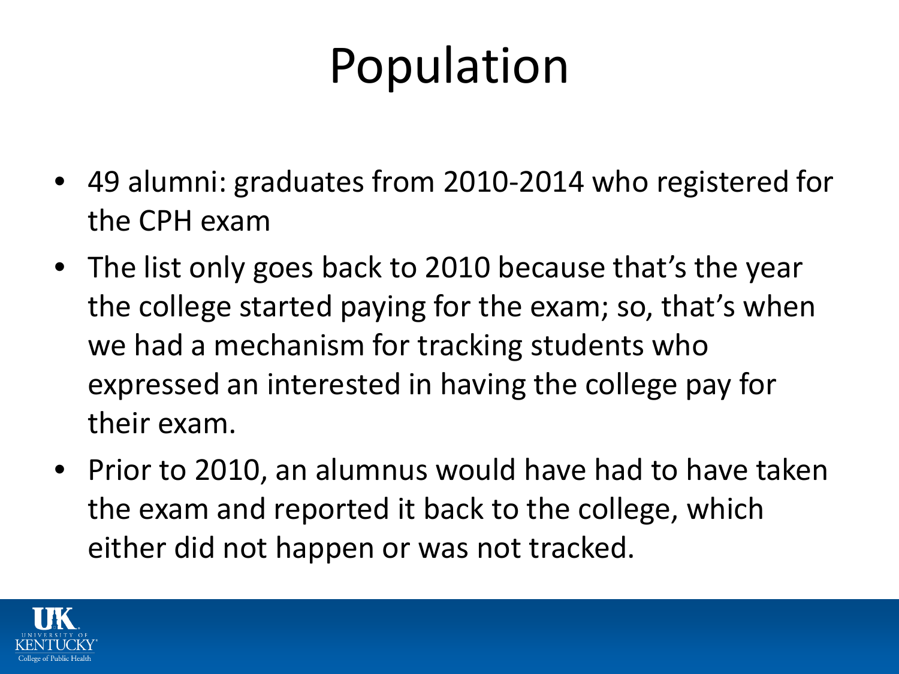# Population

- 49 alumni: graduates from 2010-2014 who registered for the CPH exam
- The list only goes back to 2010 because that's the year the college started paying for the exam; so, that's when we had a mechanism for tracking students who expressed an interested in having the college pay for their exam.
- Prior to 2010, an alumnus would have had to have taken the exam and reported it back to the college, which either did not happen or was not tracked.

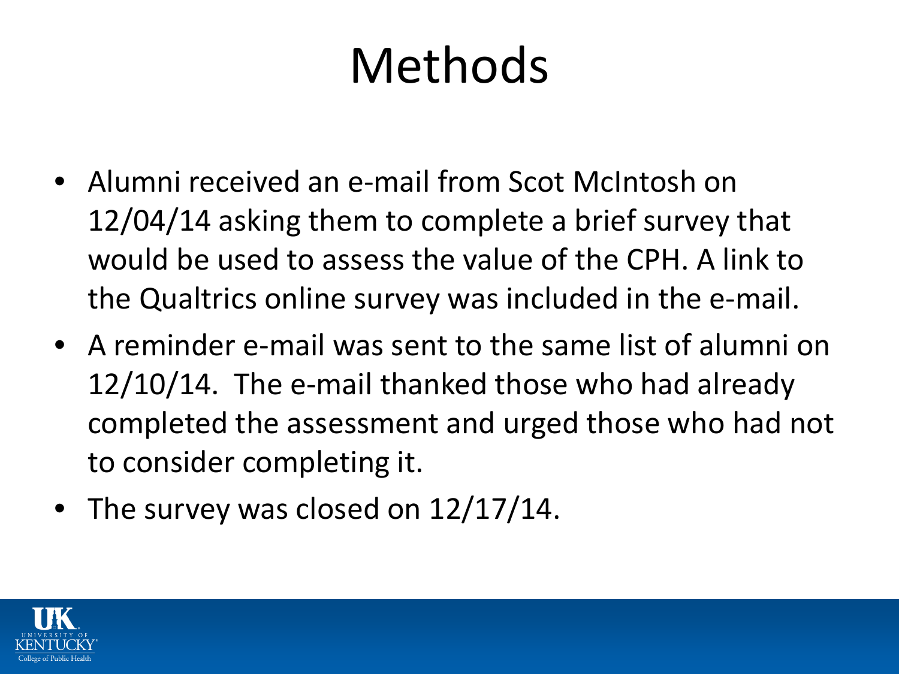# Methods

- Alumni received an e-mail from Scot McIntosh on 12/04/14 asking them to complete a brief survey that would be used to assess the value of the CPH. A link to the Qualtrics online survey was included in the e-mail.
- A reminder e-mail was sent to the same list of alumni on 12/10/14. The e-mail thanked those who had already completed the assessment and urged those who had not to consider completing it.
- The survey was closed on 12/17/14.

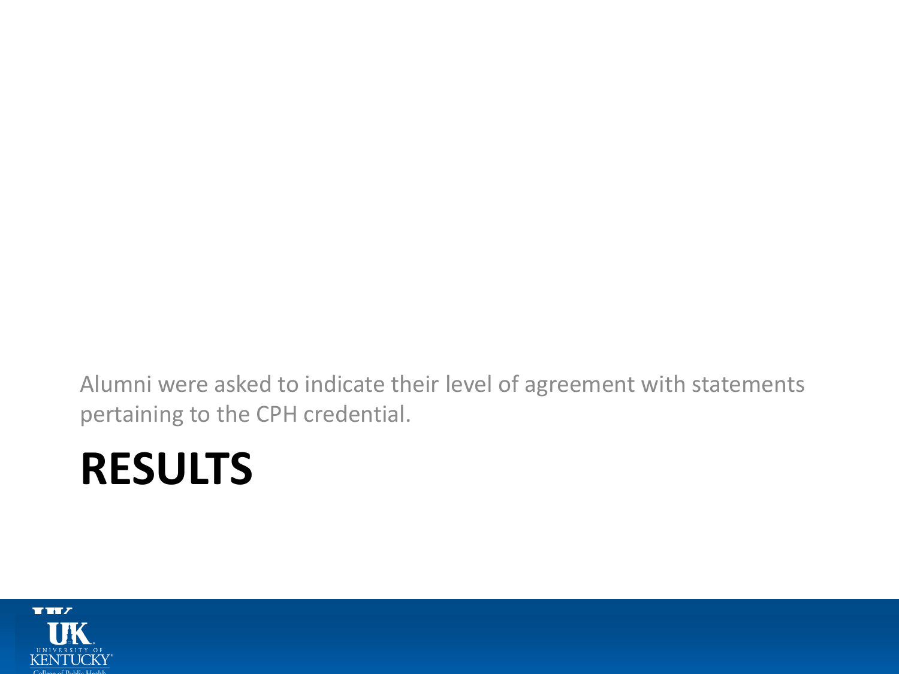Alumni were asked to indicate their level of agreement with statements pertaining to the CPH credential.

## **RESULTS**

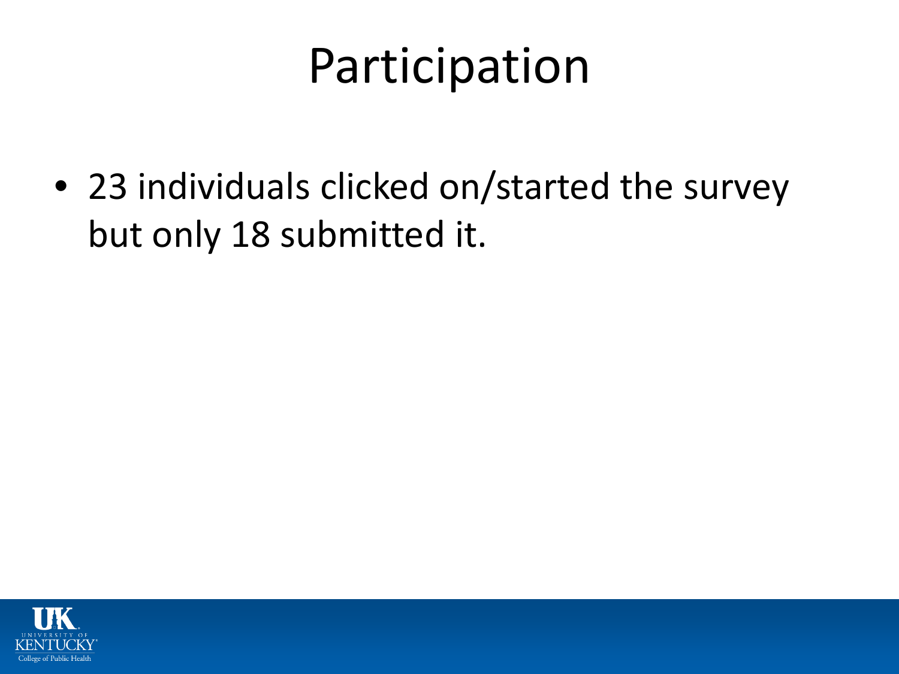## Participation

• 23 individuals clicked on/started the survey but only 18 submitted it.

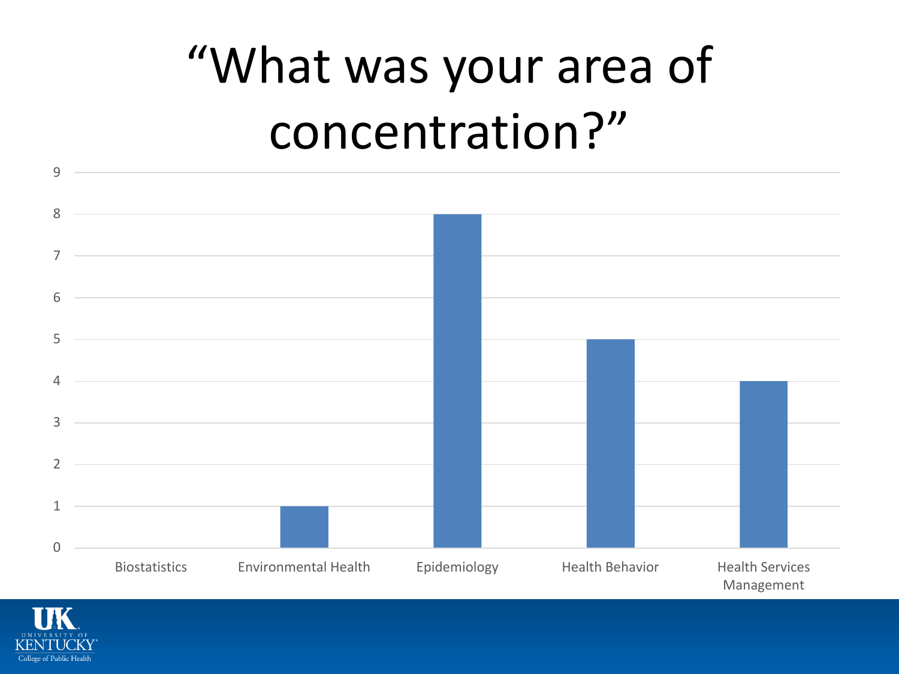# "What was your area of concentration?"



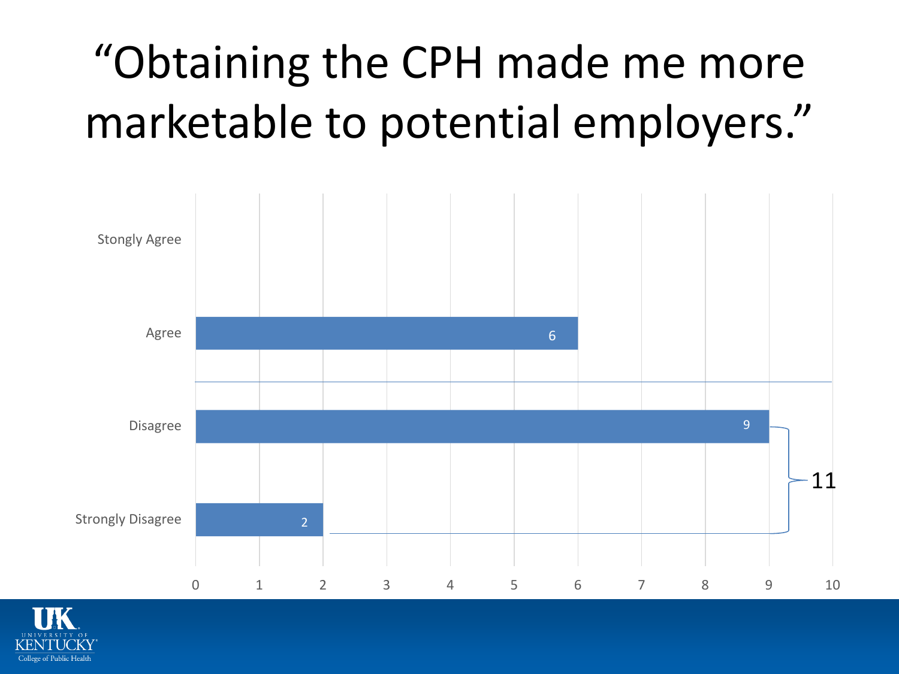## "Obtaining the CPH made me more marketable to potential employers."



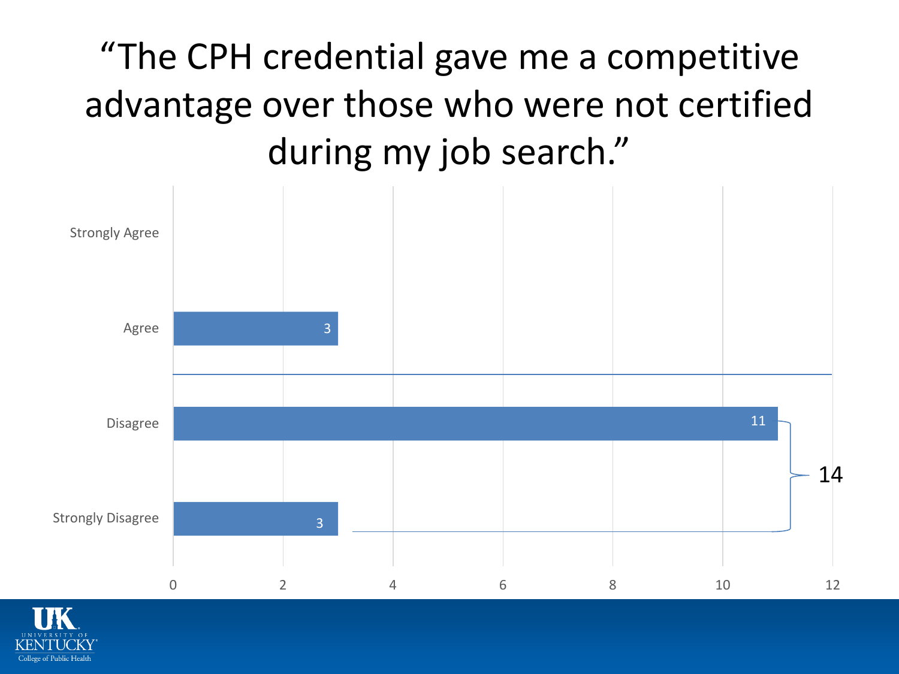## "The CPH credential gave me a competitive advantage over those who were not certified during my job search."



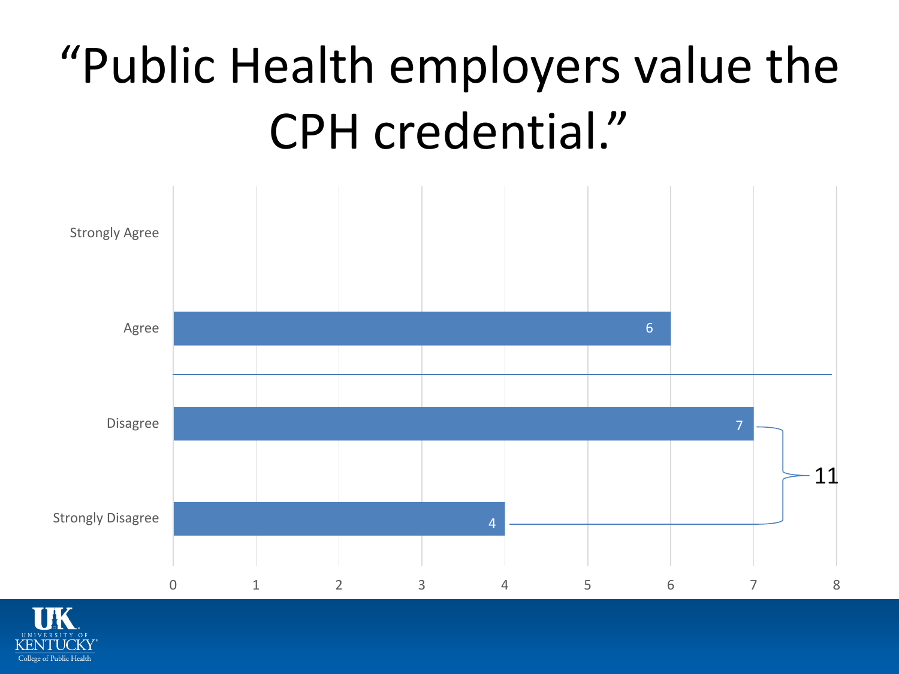# "Public Health employers value the CPH credential."



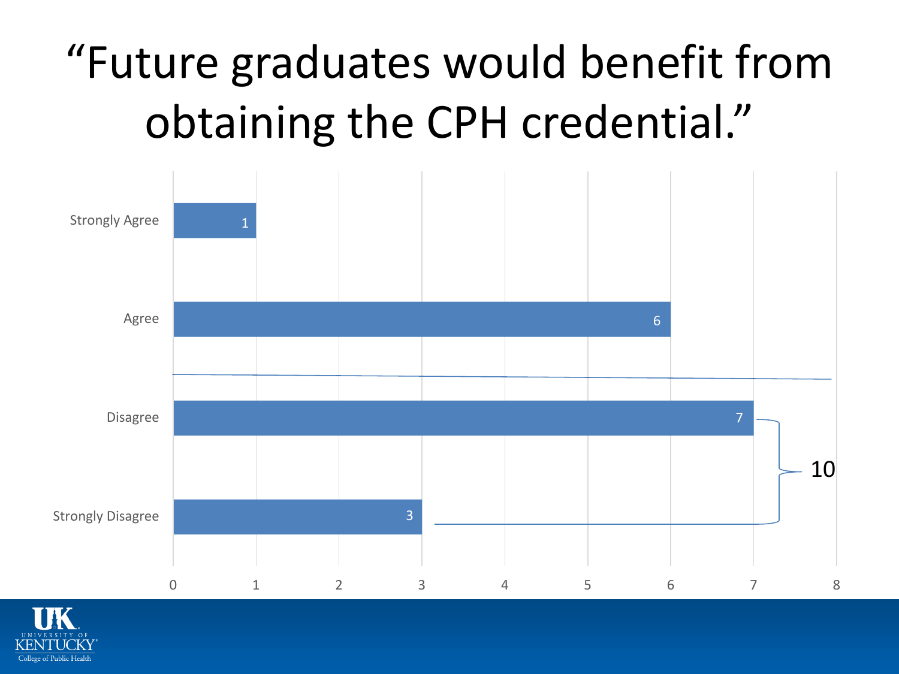# "Future graduates would benefit from obtaining the CPH credential."



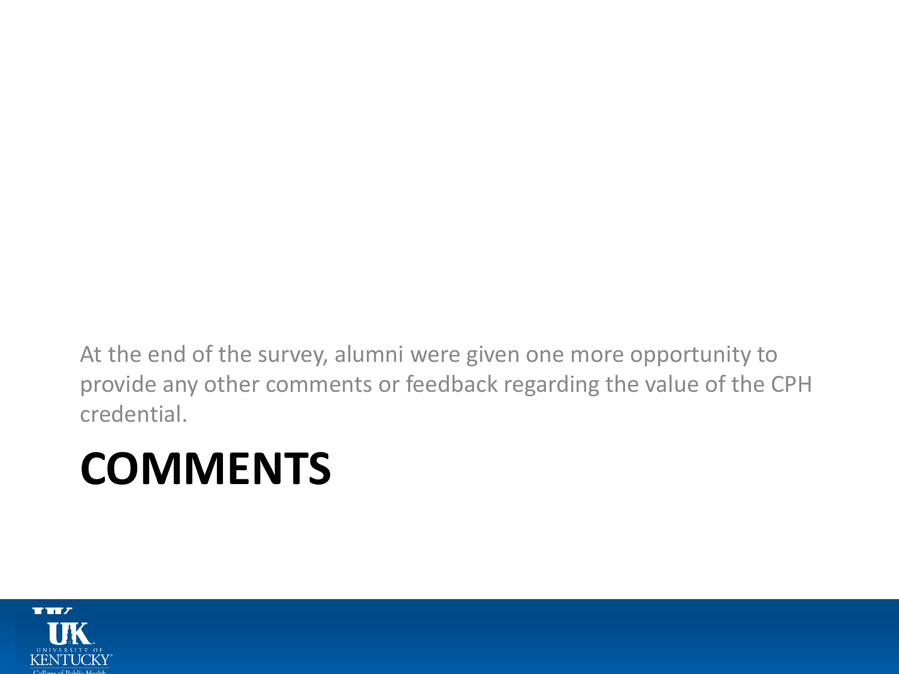At the end of the survey, alumni were given one more opportunity to provide any other comments or feedback regarding the value of the CPH credential.

## **COMMENTS**

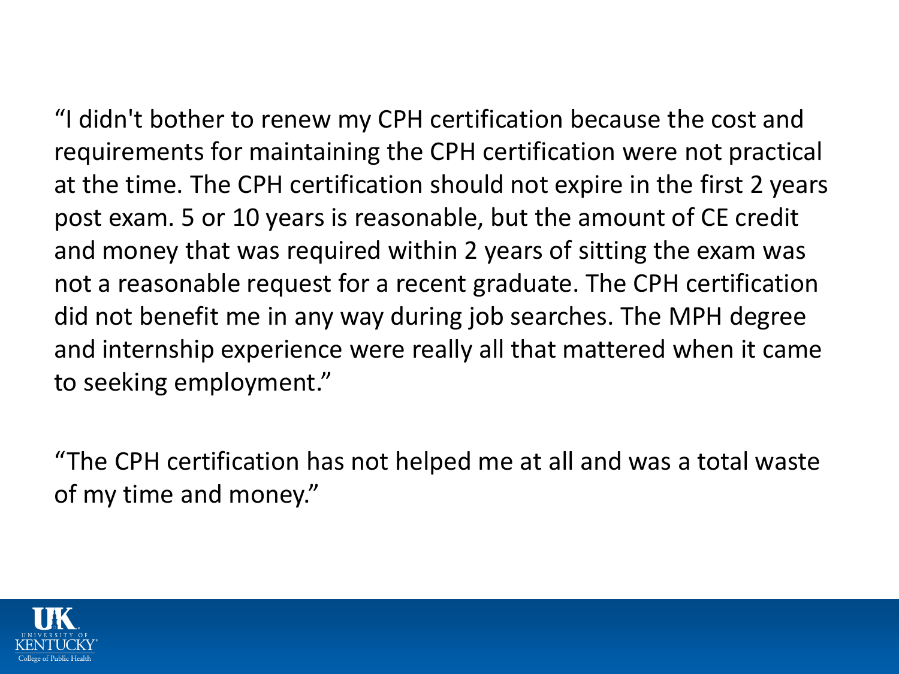"I didn't bother to renew my CPH certification because the cost and requirements for maintaining the CPH certification were not practical at the time. The CPH certification should not expire in the first 2 years post exam. 5 or 10 years is reasonable, but the amount of CE credit and money that was required within 2 years of sitting the exam was not a reasonable request for a recent graduate. The CPH certification did not benefit me in any way during job searches. The MPH degree and internship experience were really all that mattered when it came to seeking employment."

"The CPH certification has not helped me at all and was a total waste of my time and money."

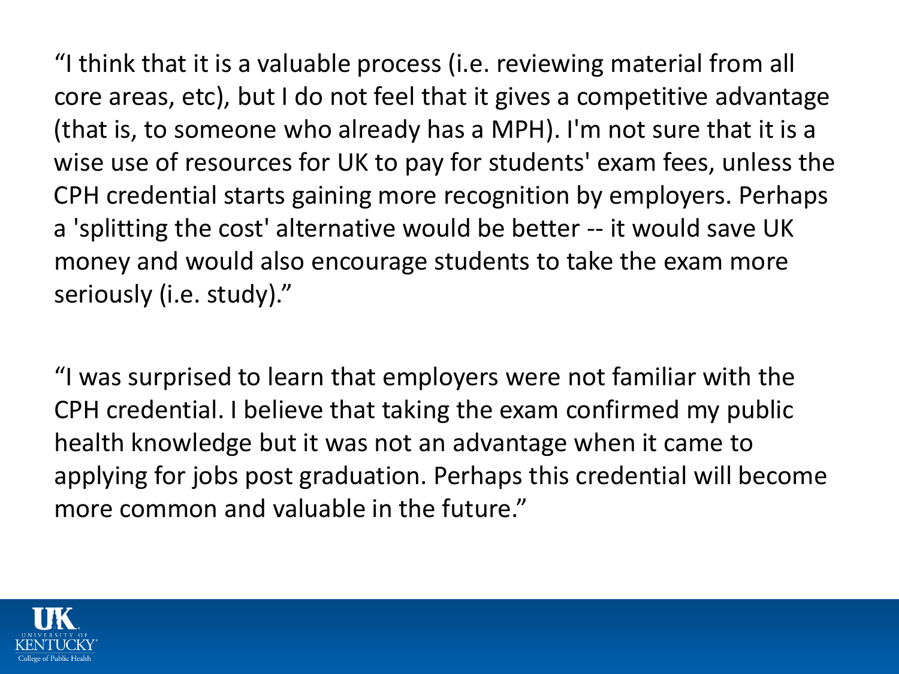"I think that it is a valuable process (i.e. reviewing material from all core areas, etc), but I do not feel that it gives a competitive advantage (that is, to someone who already has a MPH). I'm not sure that it is a wise use of resources for UK to pay for students' exam fees, unless the CPH credential starts gaining more recognition by employers. Perhaps a 'splitting the cost' alternative would be better -- it would save UK money and would also encourage students to take the exam more seriously (i.e. study)."

"I was surprised to learn that employers were not familiar with the CPH credential. I believe that taking the exam confirmed my public health knowledge but it was not an advantage when it came to applying for jobs post graduation. Perhaps this credential will become more common and valuable in the future."

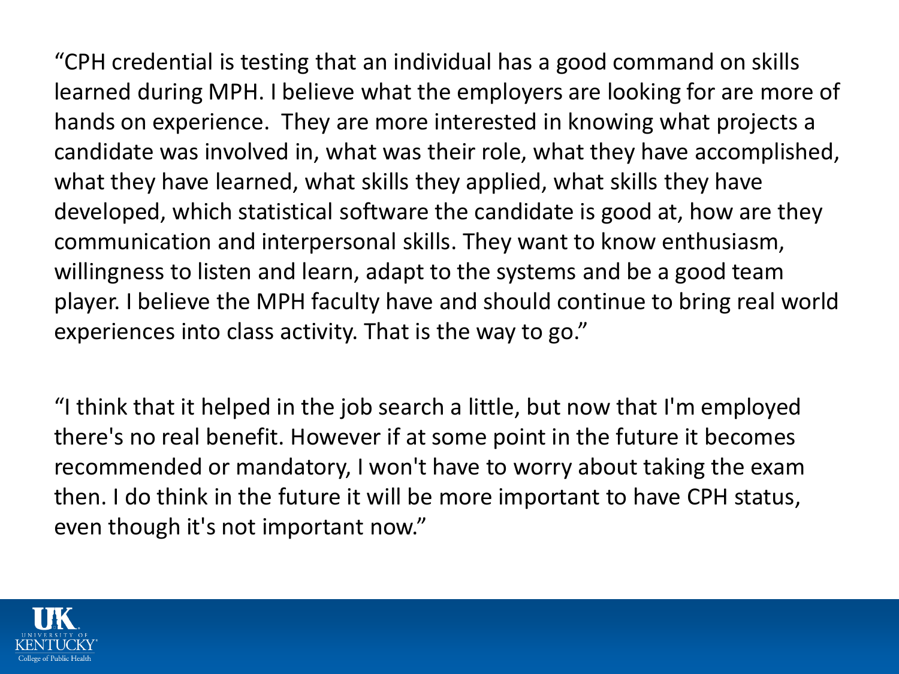"CPH credential is testing that an individual has a good command on skills learned during MPH. I believe what the employers are looking for are more of hands on experience. They are more interested in knowing what projects a candidate was involved in, what was their role, what they have accomplished, what they have learned, what skills they applied, what skills they have developed, which statistical software the candidate is good at, how are they communication and interpersonal skills. They want to know enthusiasm, willingness to listen and learn, adapt to the systems and be a good team player. I believe the MPH faculty have and should continue to bring real world experiences into class activity. That is the way to go."

"I think that it helped in the job search a little, but now that I'm employed there's no real benefit. However if at some point in the future it becomes recommended or mandatory, I won't have to worry about taking the exam then. I do think in the future it will be more important to have CPH status, even though it's not important now."

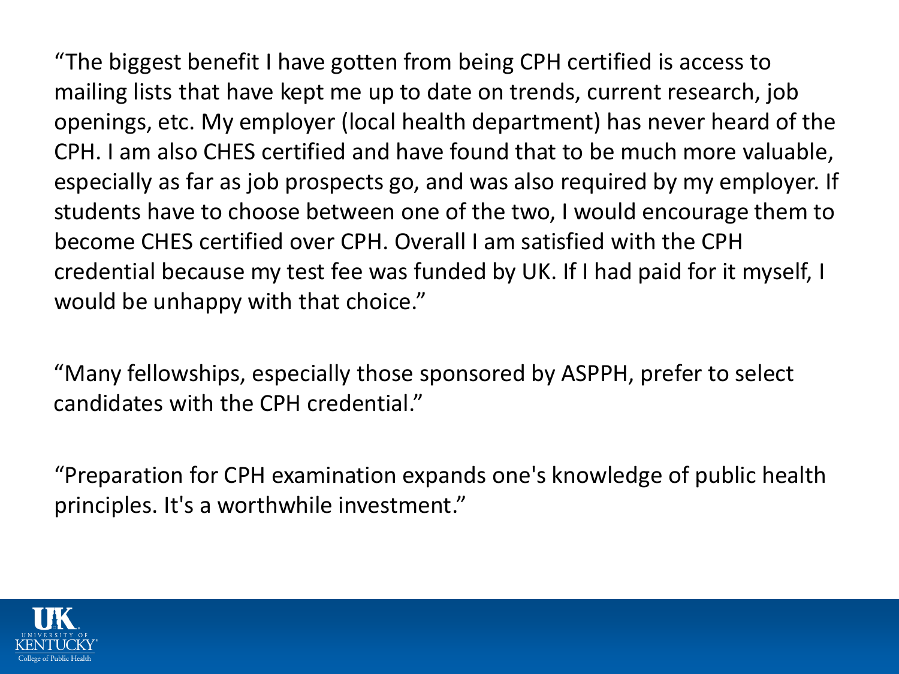"The biggest benefit I have gotten from being CPH certified is access to mailing lists that have kept me up to date on trends, current research, job openings, etc. My employer (local health department) has never heard of the CPH. I am also CHES certified and have found that to be much more valuable, especially as far as job prospects go, and was also required by my employer. If students have to choose between one of the two, I would encourage them to become CHES certified over CPH. Overall I am satisfied with the CPH credential because my test fee was funded by UK. If I had paid for it myself, I would be unhappy with that choice."

"Many fellowships, especially those sponsored by ASPPH, prefer to select candidates with the CPH credential."

"Preparation for CPH examination expands one's knowledge of public health principles. It's a worthwhile investment."

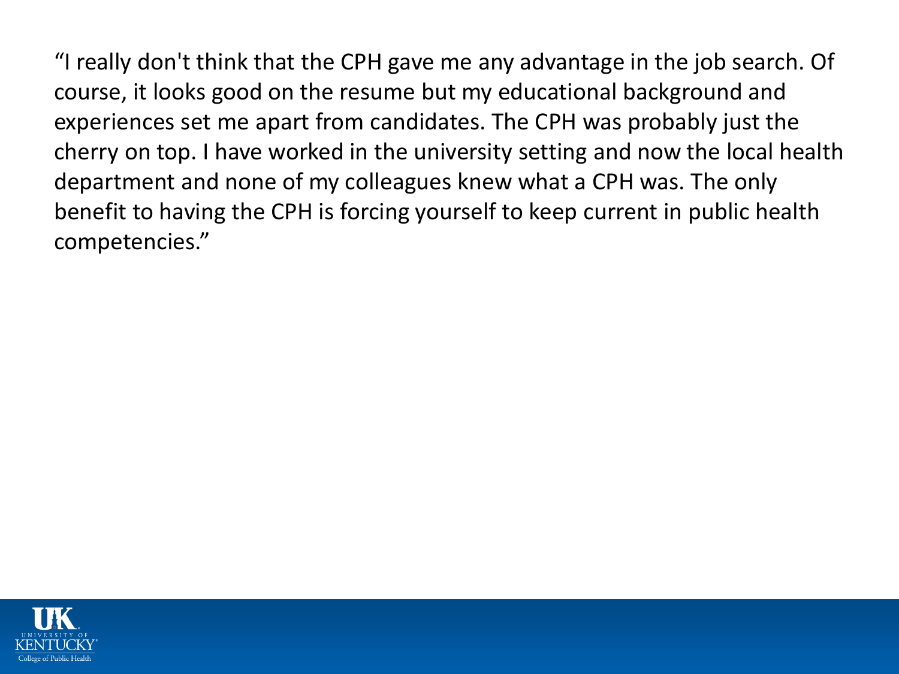"I really don't think that the CPH gave me any advantage in the job search. Of course, it looks good on the resume but my educational background and experiences set me apart from candidates. The CPH was probably just the cherry on top. I have worked in the university setting and now the local health department and none of my colleagues knew what a CPH was. The only benefit to having the CPH is forcing yourself to keep current in public health competencies."

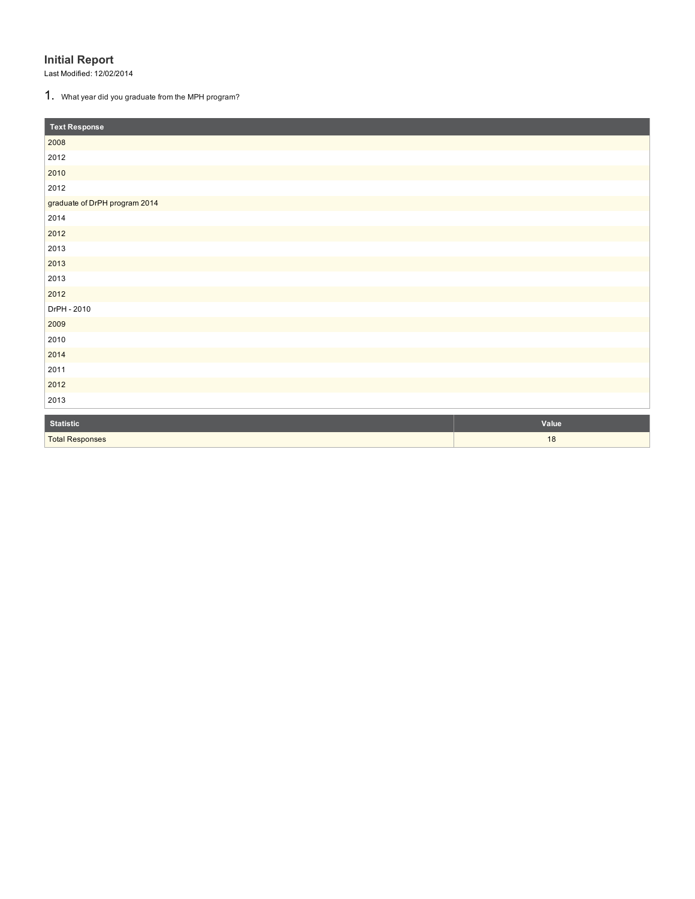**Initial Report**<br>Last Modified: 12/02/2014<br>**1.** What year did you graduate from the MPH program?

| <b>Text Response</b>          |       |
|-------------------------------|-------|
| 2008                          |       |
| 2012                          |       |
| 2010                          |       |
| 2012                          |       |
| graduate of DrPH program 2014 |       |
| 2014                          |       |
| 2012                          |       |
| 2013                          |       |
| 2013                          |       |
| 2013                          |       |
| 2012                          |       |
| DrPH - 2010                   |       |
| 2009                          |       |
| 2010                          |       |
| 2014                          |       |
| 2011                          |       |
| 2012                          |       |
| 2013                          |       |
| <b>Statistic</b>              | Value |

| <b>Statistic</b>       | Value                   |
|------------------------|-------------------------|
| <b>Total Responses</b> | $\epsilon$<br><b>10</b> |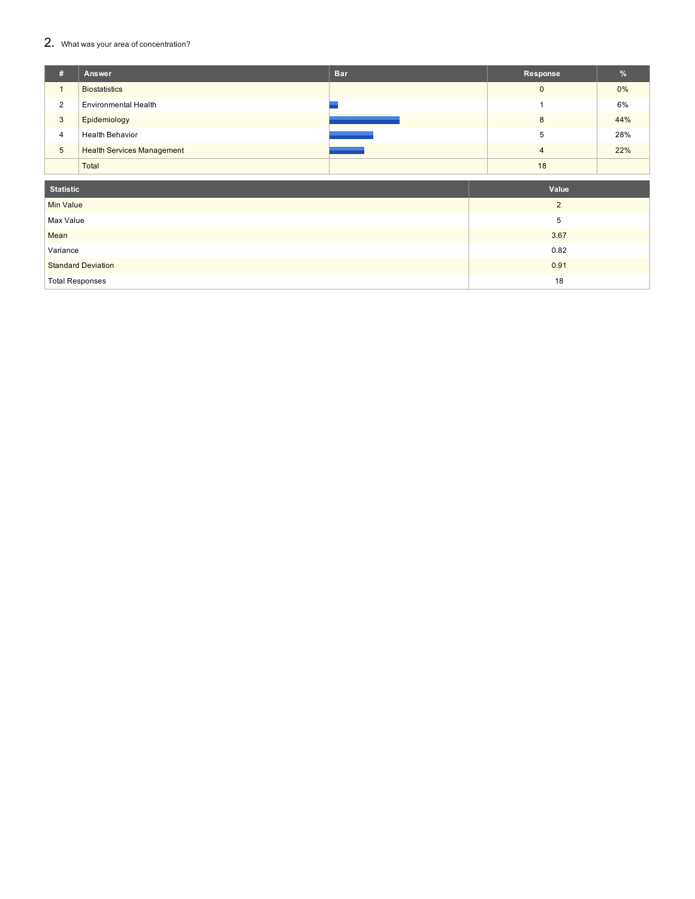### $2.$  What was your area of concentration?

| #                       | Answer                            | <b>Bar</b> | Response       | %     |
|-------------------------|-----------------------------------|------------|----------------|-------|
| $\overline{\mathbf{A}}$ | <b>Biostatistics</b>              |            | $\mathbf 0$    | $0\%$ |
| $\overline{2}$          | <b>Environmental Health</b>       |            |                | 6%    |
| 3                       | Epidemiology                      |            | 8              | 44%   |
| $\overline{4}$          | <b>Health Behavior</b>            |            | 5              | 28%   |
| 5                       | <b>Health Services Management</b> |            | $\overline{4}$ | 22%   |
|                         | Total                             |            | 18             |       |
|                         |                                   |            |                |       |
|                         | <b>Statistic</b>                  |            | Value          |       |
| $Min$ $bin$             |                                   |            | $\Omega$       |       |

| Min Value                 |      |
|---------------------------|------|
| Max Value                 | ີ    |
| Mean                      | 3.67 |
| Variance                  | 0.82 |
| <b>Standard Deviation</b> | 0.91 |
| <b>Total Responses</b>    | 18   |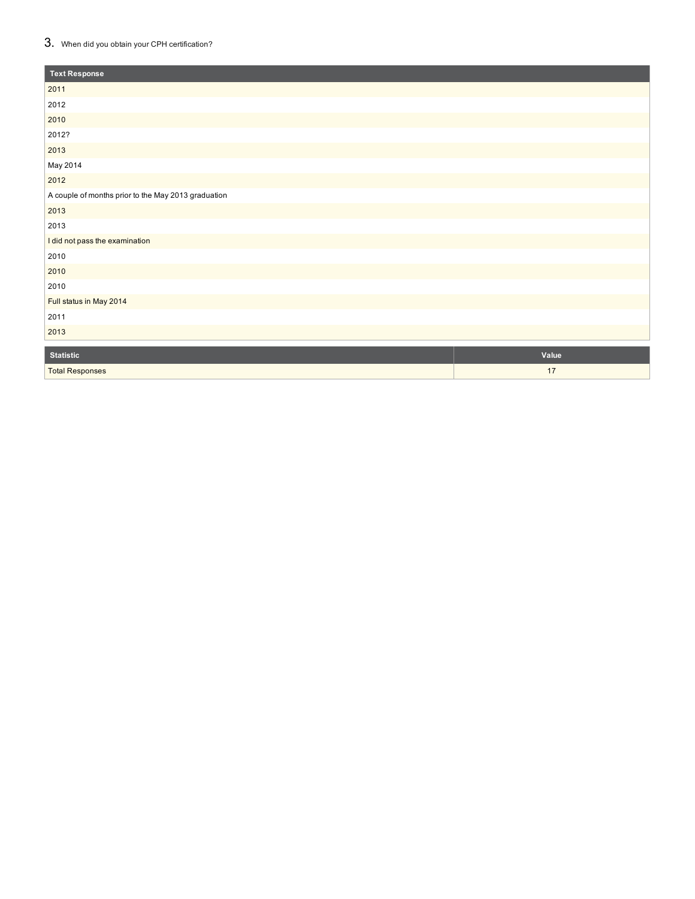### $3.$  When did you obtain your CPH certification?

| <b>Text Response</b>                                |       |
|-----------------------------------------------------|-------|
| 2011                                                |       |
| 2012                                                |       |
| 2010                                                |       |
| 2012?                                               |       |
| 2013                                                |       |
| May 2014                                            |       |
| 2012                                                |       |
| A couple of months prior to the May 2013 graduation |       |
| 2013                                                |       |
| 2013                                                |       |
| I did not pass the examination                      |       |
| 2010                                                |       |
| 2010                                                |       |
| 2010                                                |       |
| Full status in May 2014                             |       |
| 2011                                                |       |
| 2013                                                |       |
| <b>Statistic</b>                                    | Value |
| <b>Total Responses</b>                              | 17    |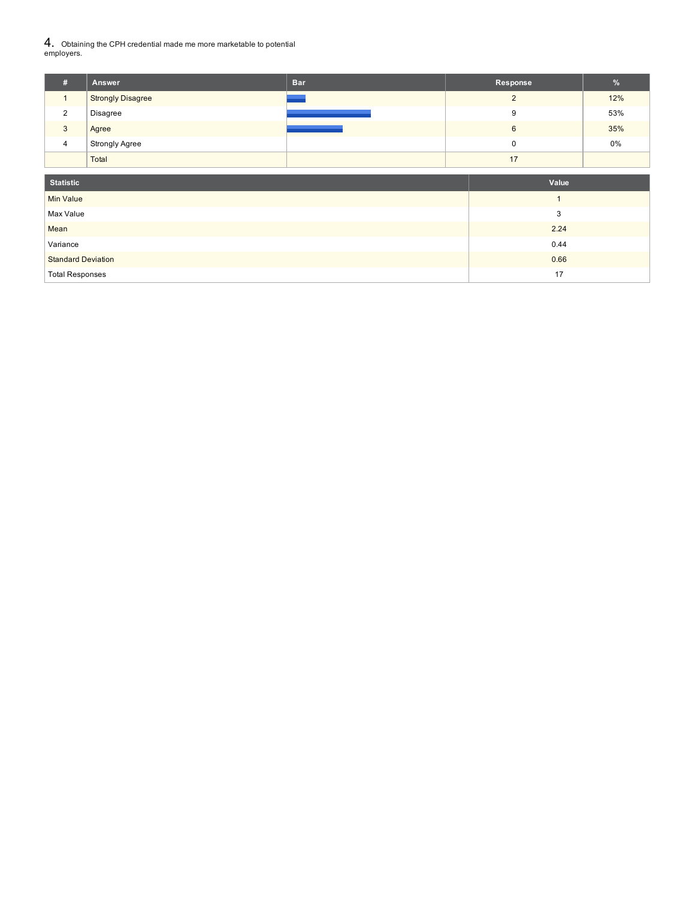### 4. Obtaining the CPH credential made me more marketable to potential employers.

| #              | <b>Answer</b>            | <b>Bar</b> | Response | %   |
|----------------|--------------------------|------------|----------|-----|
|                | <b>Strongly Disagree</b> |            | ◠        | 12% |
| 2              | Disagree                 |            | 9        | 53% |
| 3              | Agree                    |            | 6        | 35% |
| $\overline{4}$ | <b>Strongly Agree</b>    |            | 0        | 0%  |
|                | Total                    |            | 17       |     |

| <b>Statistic</b>          | Value |
|---------------------------|-------|
| Min Value                 |       |
| Max Value                 | 3     |
| Mean                      | 2.24  |
| Variance                  | 0.44  |
| <b>Standard Deviation</b> | 0.66  |
| <b>Total Responses</b>    | 17    |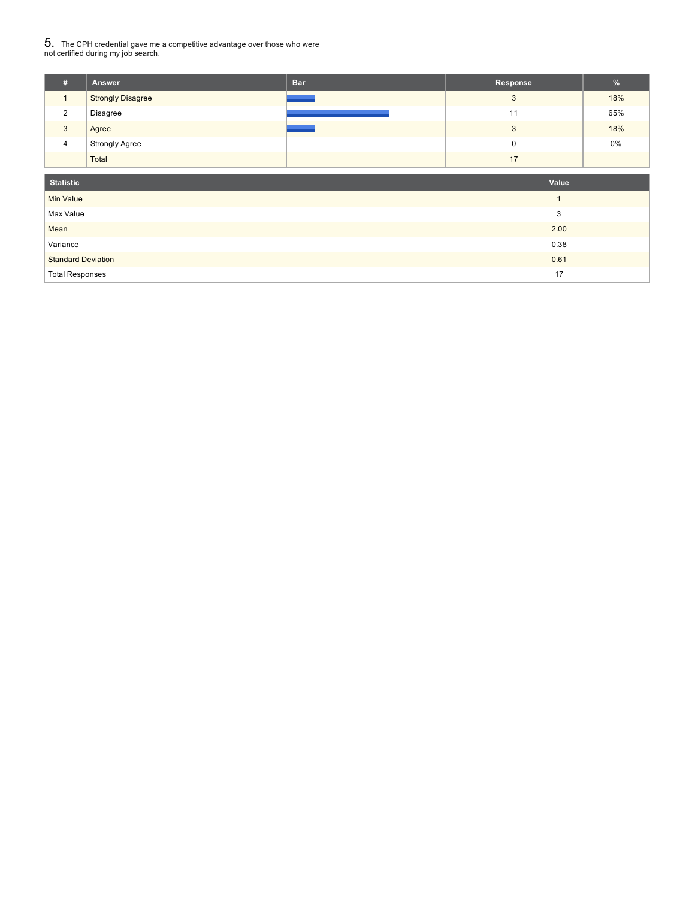## $5_\cdot$  The CPH credential gave me a competitive advantage over those who were<br>not certified during my job search.

| #              | <b>Answer</b>            | <b>Bar</b> | Response | %   |
|----------------|--------------------------|------------|----------|-----|
|                | <b>Strongly Disagree</b> |            | 3        | 18% |
| $\overline{2}$ | Disagree                 |            | 11       | 65% |
| 3              | Agree                    |            | 3        | 18% |
| 4              | <b>Strongly Agree</b>    |            | 0        | 0%  |
|                | Total                    |            | 17       |     |

| <b>Statistic</b>          | Value |
|---------------------------|-------|
| <b>Min Value</b>          |       |
| Max Value                 | 3     |
| Mean                      | 2.00  |
| Variance                  | 0.38  |
| <b>Standard Deviation</b> | 0.61  |
| <b>Total Responses</b>    | 17    |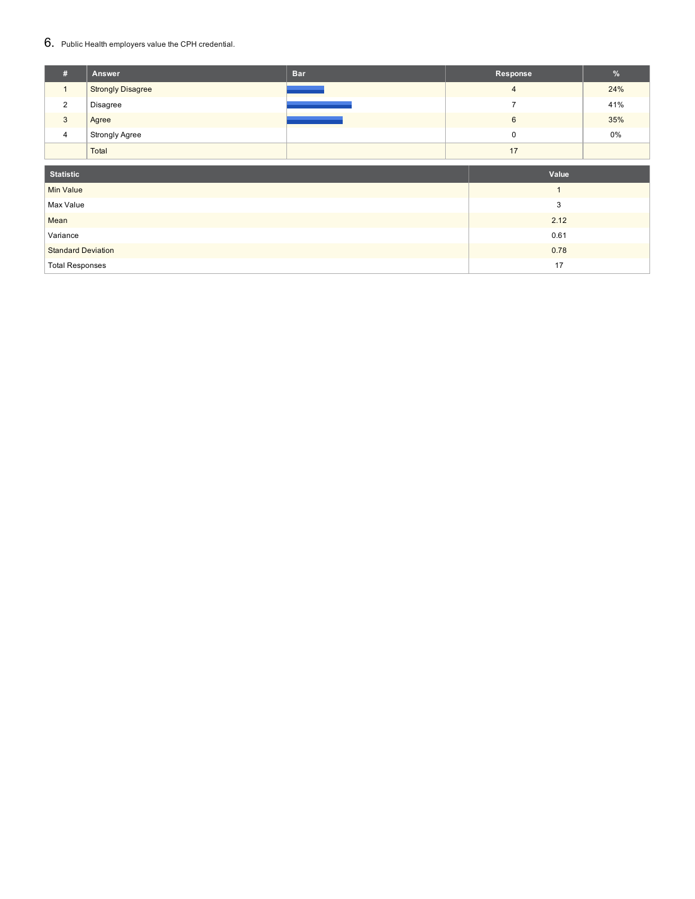### 6. Public Health employers value the CPH credential.

| #                         | Answer                   | <b>Bar</b> | Response       | %     |
|---------------------------|--------------------------|------------|----------------|-------|
| $\mathbf{1}$              | <b>Strongly Disagree</b> |            | $\overline{4}$ | 24%   |
| 2                         | Disagree                 |            | $\overline{ }$ | 41%   |
| 3                         | Agree                    |            | 6              | 35%   |
| $\overline{4}$            | <b>Strongly Agree</b>    |            | $\pmb{0}$      | $0\%$ |
|                           | Total                    |            | 17             |       |
| <b>Statistic</b>          |                          |            | Value          |       |
| <b>Min Value</b>          |                          |            |                |       |
|                           |                          |            |                |       |
| Max Value                 |                          |            | 3              |       |
| Mean                      |                          |            | 2.12           |       |
| Variance                  |                          |            | 0.61           |       |
| <b>Standard Deviation</b> |                          |            | 0.78           |       |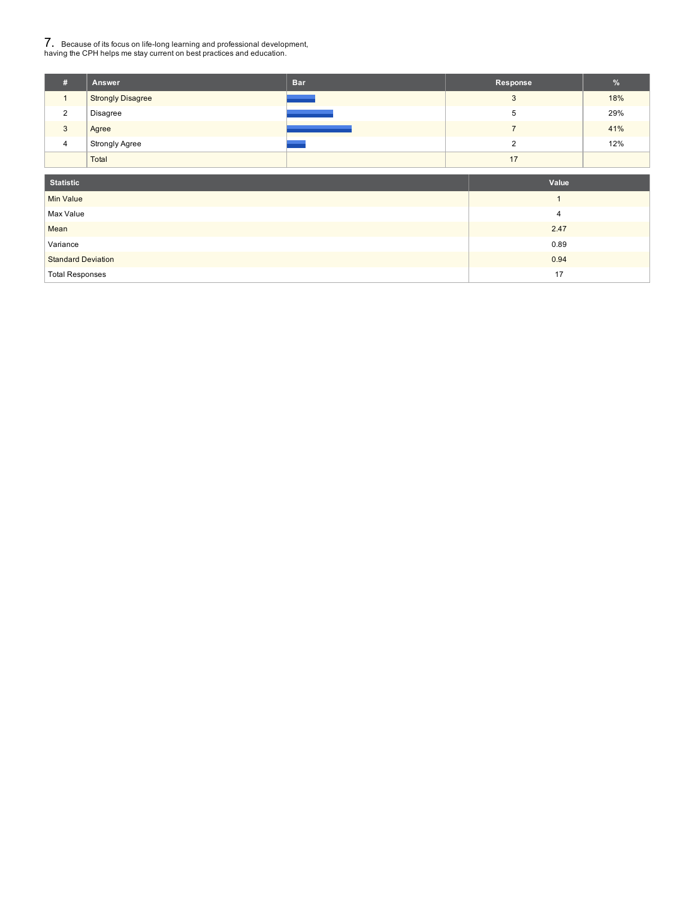## 7. Because of its focus on life-long learning and professional development, having the CPH helps me stay current on best practices and education.

| #              | <b>Answer</b>            | <b>Bar</b> | Response | %   |
|----------------|--------------------------|------------|----------|-----|
|                | <b>Strongly Disagree</b> |            | 3        | 18% |
| $\overline{2}$ | Disagree                 |            | 5        | 29% |
| 3              | Agree                    |            |          | 41% |
| 4              | <b>Strongly Agree</b>    |            |          | 12% |
|                | Total                    |            | 17       |     |

| <b>Statistic</b>          | Value |
|---------------------------|-------|
| Min Value                 |       |
| Max Value                 | 4     |
| Mean                      | 2.47  |
| Variance                  | 0.89  |
| <b>Standard Deviation</b> | 0.94  |
| <b>Total Responses</b>    | 17    |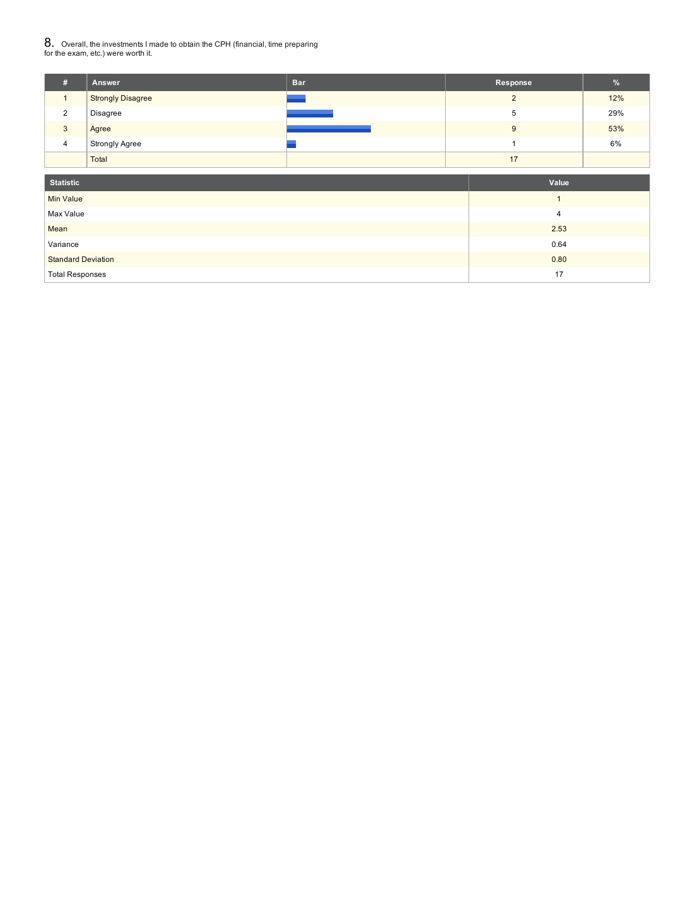## $8. \,$  Overall, the investments I made to obtain the CPH (financial, time preparing<br>for the exam, etc.) were worth it.

| # | <b>Answer</b>            | <b>Bar</b> | Response | %   |
|---|--------------------------|------------|----------|-----|
|   | <b>Strongly Disagree</b> |            | ◠        | 12% |
| 2 | Disagree                 |            | 5        | 29% |
| 3 | Agree                    |            | 9        | 53% |
| 4 | <b>Strongly Agree</b>    |            |          | 6%  |
|   | Total                    |            | 17       |     |

| <b>Statistic</b>          | Value |
|---------------------------|-------|
| Min Value                 |       |
| Max Value                 | 4     |
| Mean                      | 2.53  |
| Variance                  | 0.64  |
| <b>Standard Deviation</b> | 0.80  |
| <b>Total Responses</b>    | 17    |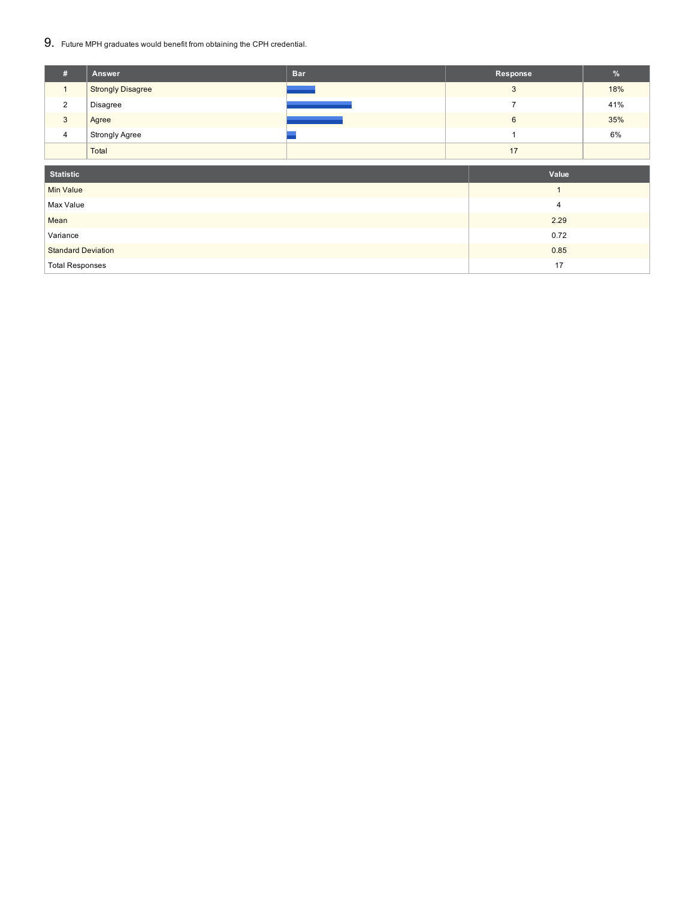### 9. Future MPH graduates would benefit from obtaining the CPH credential.

| #                | Answer                   | <b>Bar</b> | Response       | $\%$ |
|------------------|--------------------------|------------|----------------|------|
| $\mathbf{1}$     | <b>Strongly Disagree</b> |            | 3              | 18%  |
| 2                | Disagree                 |            | $\overline{7}$ | 41%  |
| $\mathbf{3}$     | Agree                    |            | 6              | 35%  |
| $\overline{4}$   | <b>Strongly Agree</b>    |            |                | 6%   |
|                  | Total                    |            | 17             |      |
|                  |                          |            |                |      |
| <b>Statistic</b> |                          |            | Value          |      |
|                  |                          |            |                |      |
| Min Value        |                          |            |                |      |
| Max Value        |                          |            | $\overline{4}$ |      |
| Mean             |                          |            | 2.29           |      |
| Variance         |                          |            | 0.72           |      |

Total Responses 2008 and 2009 and 2009 and 2009 and 2009 and 2009 and 2009 and 2009 and 2009 and 2009 and 2009 and 2009 and 2009 and 2009 and 2009 and 2009 and 2009 and 2009 and 2009 and 2009 and 2009 and 2009 and 2009 and